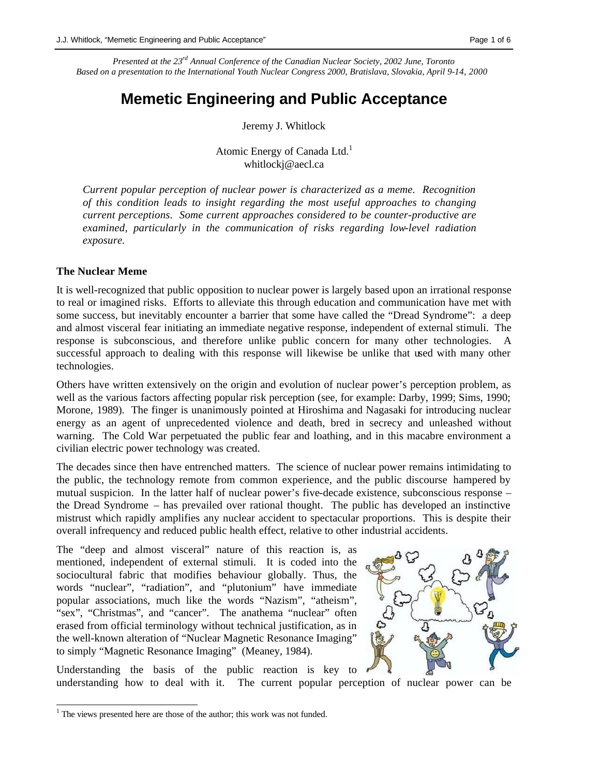*Presented at the 23rd Annual Conference of the Canadian Nuclear Society, 2002 June, Toronto Based on a presentation to the International Youth Nuclear Congress 2000, Bratislava, Slovakia, April 9-14, 2000*

# **Memetic Engineering and Public Acceptance**

Jeremy J. Whitlock

Atomic Energy of Canada Ltd.<sup>1</sup> whitlockj@aecl.ca

*Current popular perception of nuclear power is characterized as a meme. Recognition of this condition leads to insight regarding the most useful approaches to changing current perceptions. Some current approaches considered to be counter-productive are examined, particularly in the communication of risks regarding low-level radiation exposure.* 

### **The Nuclear Meme**

It is well-recognized that public opposition to nuclear power is largely based upon an irrational response to real or imagined risks. Efforts to alleviate this through education and communication have met with some success, but inevitably encounter a barrier that some have called the "Dread Syndrome": a deep and almost visceral fear initiating an immediate negative response, independent of external stimuli. The response is subconscious, and therefore unlike public concern for many other technologies. A successful approach to dealing with this response will likewise be unlike that used with many other technologies.

Others have written extensively on the origin and evolution of nuclear power's perception problem, as well as the various factors affecting popular risk perception (see, for example: Darby, 1999; Sims, 1990; Morone, 1989). The finger is unanimously pointed at Hiroshima and Nagasaki for introducing nuclear energy as an agent of unprecedented violence and death, bred in secrecy and unleashed without warning. The Cold War perpetuated the public fear and loathing, and in this macabre environment a civilian electric power technology was created.

The decades since then have entrenched matters. The science of nuclear power remains intimidating to the public, the technology remote from common experience, and the public discourse hampered by mutual suspicion. In the latter half of nuclear power's five-decade existence, subconscious response – the Dread Syndrome – has prevailed over rational thought. The public has developed an instinctive mistrust which rapidly amplifies any nuclear accident to spectacular proportions. This is despite their overall infrequency and reduced public health effect, relative to other industrial accidents.

The "deep and almost visceral" nature of this reaction is, as mentioned, independent of external stimuli. It is coded into the sociocultural fabric that modifies behaviour globally. Thus, the words "nuclear", "radiation", and "plutonium" have immediate popular associations, much like the words "Nazism", "atheism", "sex", "Christmas", and "cancer". The anathema "nuclear" often erased from official terminology without technical justification, as in the well-known alteration of "Nuclear Magnetic Resonance Imaging" to simply "Magnetic Resonance Imaging" (Meaney, 1984).



Understanding the basis of the public reaction is key to understanding how to deal with it. The current popular perception of nuclear power can be

<sup>&</sup>lt;sup>1</sup> The views presented here are those of the author; this work was not funded.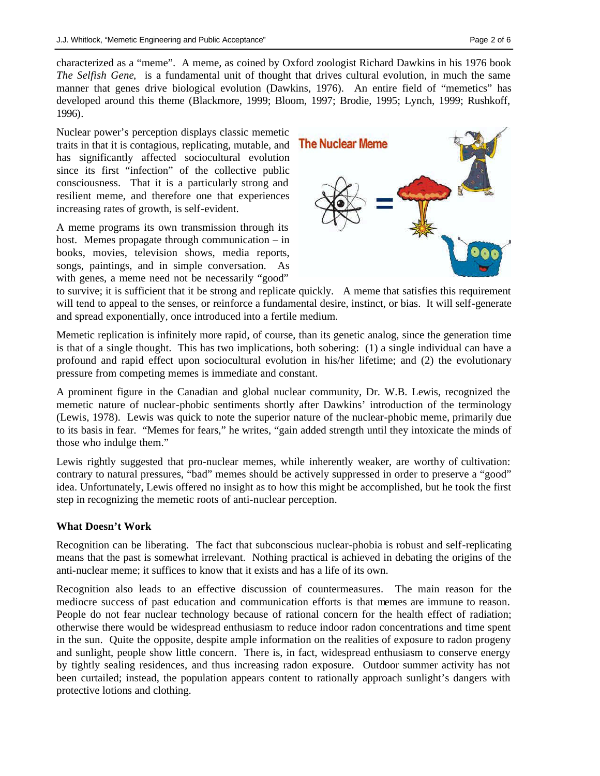characterized as a "meme". A meme, as coined by Oxford zoologist Richard Dawkins in his 1976 book *The Selfish Gene*, is a fundamental unit of thought that drives cultural evolution, in much the same manner that genes drive biological evolution (Dawkins, 1976). An entire field of "memetics" has developed around this theme (Blackmore, 1999; Bloom, 1997; Brodie, 1995; Lynch, 1999; Rushkoff, 1996).

Nuclear power's perception displays classic memetic traits in that it is contagious, replicating, mutable, and has significantly affected sociocultural evolution since its first "infection" of the collective public consciousness. That it is a particularly strong and resilient meme, and therefore one that experiences increasing rates of growth, is self-evident.

A meme programs its own transmission through its host. Memes propagate through communication – in books, movies, television shows, media reports, songs, paintings, and in simple conversation. As with genes, a meme need not be necessarily "good"



to survive; it is sufficient that it be strong and replicate quickly. A meme that satisfies this requirement will tend to appeal to the senses, or reinforce a fundamental desire, instinct, or bias. It will self-generate and spread exponentially, once introduced into a fertile medium.

Memetic replication is infinitely more rapid, of course, than its genetic analog, since the generation time is that of a single thought. This has two implications, both sobering: (1) a single individual can have a profound and rapid effect upon sociocultural evolution in his/her lifetime; and (2) the evolutionary pressure from competing memes is immediate and constant.

A prominent figure in the Canadian and global nuclear community, Dr. W.B. Lewis, recognized the memetic nature of nuclear-phobic sentiments shortly after Dawkins' introduction of the terminology (Lewis, 1978). Lewis was quick to note the superior nature of the nuclear-phobic meme, primarily due to its basis in fear. "Memes for fears," he writes, "gain added strength until they intoxicate the minds of those who indulge them."

Lewis rightly suggested that pro-nuclear memes, while inherently weaker, are worthy of cultivation: contrary to natural pressures, "bad" memes should be actively suppressed in order to preserve a "good" idea. Unfortunately, Lewis offered no insight as to how this might be accomplished, but he took the first step in recognizing the memetic roots of anti-nuclear perception.

## **What Doesn't Work**

Recognition can be liberating. The fact that subconscious nuclear-phobia is robust and self-replicating means that the past is somewhat irrelevant. Nothing practical is achieved in debating the origins of the anti-nuclear meme; it suffices to know that it exists and has a life of its own.

Recognition also leads to an effective discussion of countermeasures. The main reason for the mediocre success of past education and communication efforts is that memes are immune to reason. People do not fear nuclear technology because of rational concern for the health effect of radiation; otherwise there would be widespread enthusiasm to reduce indoor radon concentrations and time spent in the sun. Quite the opposite, despite ample information on the realities of exposure to radon progeny and sunlight, people show little concern. There is, in fact, widespread enthusiasm to conserve energy by tightly sealing residences, and thus increasing radon exposure. Outdoor summer activity has not been curtailed; instead, the population appears content to rationally approach sunlight's dangers with protective lotions and clothing.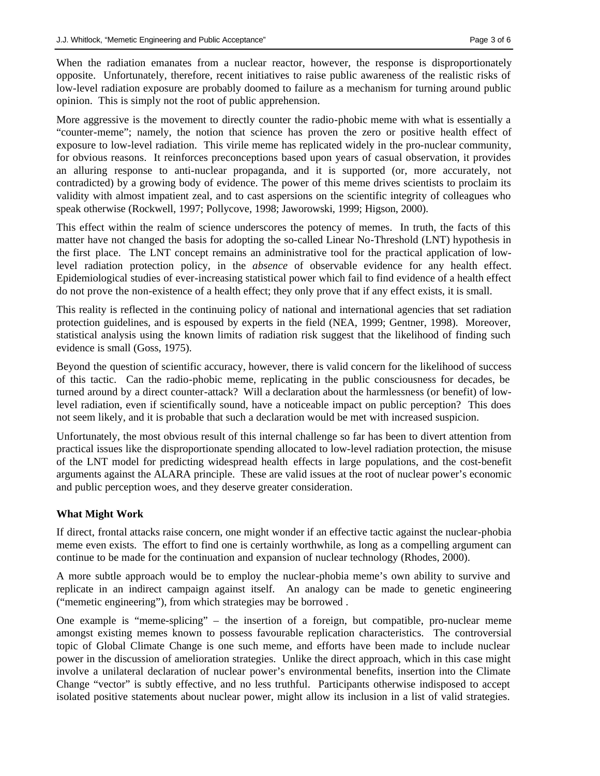When the radiation emanates from a nuclear reactor, however, the response is disproportionately opposite. Unfortunately, therefore, recent initiatives to raise public awareness of the realistic risks of low-level radiation exposure are probably doomed to failure as a mechanism for turning around public opinion. This is simply not the root of public apprehension.

More aggressive is the movement to directly counter the radio-phobic meme with what is essentially a "counter-meme"; namely, the notion that science has proven the zero or positive health effect of exposure to low-level radiation. This virile meme has replicated widely in the pro-nuclear community, for obvious reasons. It reinforces preconceptions based upon years of casual observation, it provides an alluring response to anti-nuclear propaganda, and it is supported (or, more accurately, not contradicted) by a growing body of evidence. The power of this meme drives scientists to proclaim its validity with almost impatient zeal, and to cast aspersions on the scientific integrity of colleagues who speak otherwise (Rockwell, 1997; Pollycove, 1998; Jaworowski, 1999; Higson, 2000).

This effect within the realm of science underscores the potency of memes. In truth, the facts of this matter have not changed the basis for adopting the so-called Linear No-Threshold (LNT) hypothesis in the first place. The LNT concept remains an administrative tool for the practical application of lowlevel radiation protection policy*,* in the *absence* of observable evidence for any health effect. Epidemiological studies of ever-increasing statistical power which fail to find evidence of a health effect do not prove the non-existence of a health effect; they only prove that if any effect exists, it is small.

This reality is reflected in the continuing policy of national and international agencies that set radiation protection guidelines, and is espoused by experts in the field (NEA, 1999; Gentner, 1998). Moreover, statistical analysis using the known limits of radiation risk suggest that the likelihood of finding such evidence is small (Goss, 1975).

Beyond the question of scientific accuracy, however, there is valid concern for the likelihood of success of this tactic. Can the radio-phobic meme, replicating in the public consciousness for decades, be turned around by a direct counter-attack? Will a declaration about the harmlessness (or benefit) of lowlevel radiation, even if scientifically sound, have a noticeable impact on public perception? This does not seem likely, and it is probable that such a declaration would be met with increased suspicion.

Unfortunately, the most obvious result of this internal challenge so far has been to divert attention from practical issues like the disproportionate spending allocated to low-level radiation protection, the misuse of the LNT model for predicting widespread health effects in large populations, and the cost-benefit arguments against the ALARA principle. These are valid issues at the root of nuclear power's economic and public perception woes, and they deserve greater consideration.

## **What Might Work**

If direct, frontal attacks raise concern, one might wonder if an effective tactic against the nuclear-phobia meme even exists. The effort to find one is certainly worthwhile, as long as a compelling argument can continue to be made for the continuation and expansion of nuclear technology (Rhodes, 2000).

A more subtle approach would be to employ the nuclear-phobia meme's own ability to survive and replicate in an indirect campaign against itself. An analogy can be made to genetic engineering ("memetic engineering"), from which strategies may be borrowed .

One example is "meme-splicing" – the insertion of a foreign, but compatible, pro-nuclear meme amongst existing memes known to possess favourable replication characteristics. The controversial topic of Global Climate Change is one such meme, and efforts have been made to include nuclear power in the discussion of amelioration strategies. Unlike the direct approach, which in this case might involve a unilateral declaration of nuclear power's environmental benefits, insertion into the Climate Change "vector" is subtly effective, and no less truthful. Participants otherwise indisposed to accept isolated positive statements about nuclear power, might allow its inclusion in a list of valid strategies.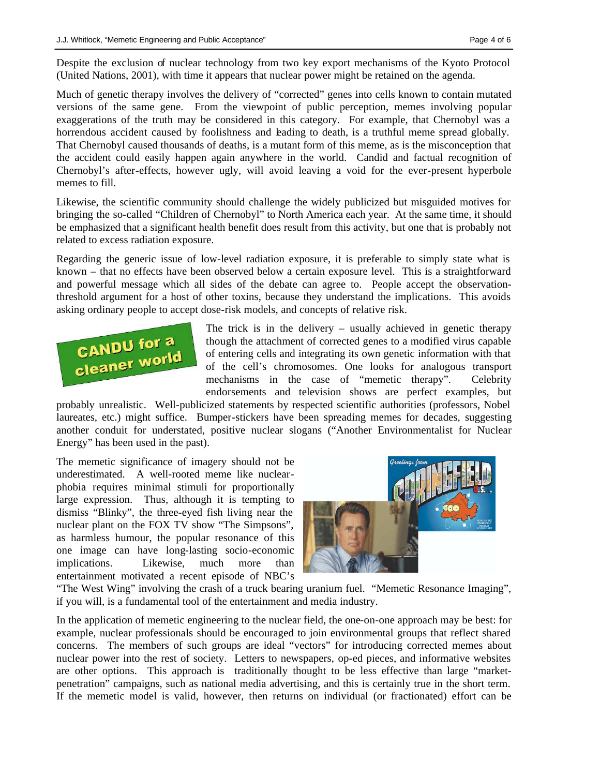Despite the exclusion of nuclear technology from two key export mechanisms of the Kyoto Protocol (United Nations, 2001), with time it appears that nuclear power might be retained on the agenda.

Much of genetic therapy involves the delivery of "corrected" genes into cells known to contain mutated versions of the same gene. From the viewpoint of public perception, memes involving popular exaggerations of the truth may be considered in this category. For example, that Chernobyl was a horrendous accident caused by foolishness and leading to death, is a truthful meme spread globally. That Chernobyl caused thousands of deaths, is a mutant form of this meme, as is the misconception that the accident could easily happen again anywhere in the world. Candid and factual recognition of Chernobyl's after-effects, however ugly, will avoid leaving a void for the ever-present hyperbole memes to fill.

Likewise, the scientific community should challenge the widely publicized but misguided motives for bringing the so-called "Children of Chernobyl" to North America each year. At the same time, it should be emphasized that a significant health benefit does result from this activity, but one that is probably not related to excess radiation exposure.

Regarding the generic issue of low-level radiation exposure, it is preferable to simply state what is known – that no effects have been observed below a certain exposure level. This is a straightforward and powerful message which all sides of the debate can agree to. People accept the observationthreshold argument for a host of other toxins, because they understand the implications. This avoids asking ordinary people to accept dose-risk models, and concepts of relative risk.



The trick is in the delivery – usually achieved in genetic therapy though the attachment of corrected genes to a modified virus capable of entering cells and integrating its own genetic information with that of the cell's chromosomes. One looks for analogous transport mechanisms in the case of "memetic therapy". Celebrity endorsements and television shows are perfect examples, but

probably unrealistic. Well-publicized statements by respected scientific authorities (professors, Nobel laureates, etc.) might suffice. Bumper-stickers have been spreading memes for decades, suggesting another conduit for understated, positive nuclear slogans ("Another Environmentalist for Nuclear Energy" has been used in the past).

The memetic significance of imagery should not be underestimated. A well-rooted meme like nuclearphobia requires minimal stimuli for proportionally large expression. Thus, although it is tempting to dismiss "Blinky", the three-eyed fish living near the nuclear plant on the FOX TV show "The Simpsons", as harmless humour, the popular resonance of this one image can have long-lasting socio-economic implications. Likewise, much more than entertainment motivated a recent episode of NBC's



"The West Wing" involving the crash of a truck bearing uranium fuel. "Memetic Resonance Imaging", if you will, is a fundamental tool of the entertainment and media industry.

In the application of memetic engineering to the nuclear field, the one-on-one approach may be best: for example, nuclear professionals should be encouraged to join environmental groups that reflect shared concerns. The members of such groups are ideal "vectors" for introducing corrected memes about nuclear power into the rest of society. Letters to newspapers, op-ed pieces, and informative websites are other options. This approach is traditionally thought to be less effective than large "marketpenetration" campaigns, such as national media advertising, and this is certainly true in the short term. If the memetic model is valid, however, then returns on individual (or fractionated) effort can be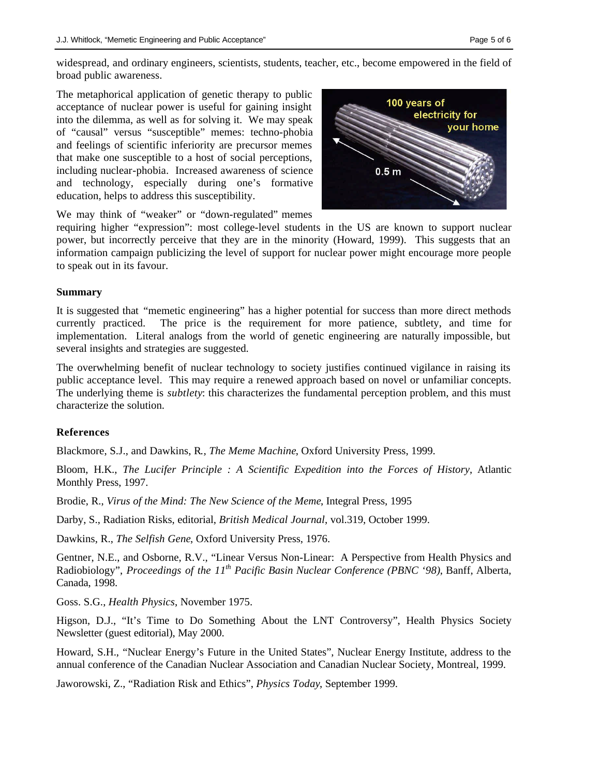widespread, and ordinary engineers, scientists, students, teacher, etc., become empowered in the field of broad public awareness.

The metaphorical application of genetic therapy to public acceptance of nuclear power is useful for gaining insight into the dilemma, as well as for solving it. We may speak of "causal" versus "susceptible" memes: techno-phobia and feelings of scientific inferiority are precursor memes that make one susceptible to a host of social perceptions, including nuclear-phobia. Increased awareness of science and technology, especially during one's formative education, helps to address this susceptibility.



We may think of "weaker" or "down-regulated" memes

requiring higher "expression": most college-level students in the US are known to support nuclear power, but incorrectly perceive that they are in the minority (Howard, 1999). This suggests that an information campaign publicizing the level of support for nuclear power might encourage more people to speak out in its favour.

#### **Summary**

It is suggested that "memetic engineering" has a higher potential for success than more direct methods currently practiced. The price is the requirement for more patience, subtlety, and time for implementation. Literal analogs from the world of genetic engineering are naturally impossible, but several insights and strategies are suggested.

The overwhelming benefit of nuclear technology to society justifies continued vigilance in raising its public acceptance level. This may require a renewed approach based on novel or unfamiliar concepts. The underlying theme is *subtlety*: this characterizes the fundamental perception problem, and this must characterize the solution.

#### **References**

Blackmore, S.J., and Dawkins, R*., The Meme Machine*, Oxford University Press, 1999.

Bloom, H.K., *The Lucifer Principle : A Scientific Expedition into the Forces of History*, Atlantic Monthly Press, 1997.

Brodie, R., *Virus of the Mind: The New Science of the Meme*, Integral Press, 1995

Darby, S., Radiation Risks, editorial, *British Medical Journal*, vol.319, October 1999.

Dawkins, R., *The Selfish Gene*, Oxford University Press, 1976.

Gentner, N.E., and Osborne, R.V., "Linear Versus Non-Linear: A Perspective from Health Physics and Radiobiology", *Proceedings of the 11th Pacific Basin Nuclear Conference (PBNC '98)*, Banff, Alberta, Canada, 1998.

Goss. S.G., *Health Physics*, November 1975.

Higson, D.J., "It's Time to Do Something About the LNT Controversy", Health Physics Society Newsletter (guest editorial), May 2000.

Howard, S.H., "Nuclear Energy's Future in the United States", Nuclear Energy Institute, address to the annual conference of the Canadian Nuclear Association and Canadian Nuclear Society, Montreal, 1999.

Jaworowski, Z., "Radiation Risk and Ethics", *Physics Today*, September 1999.